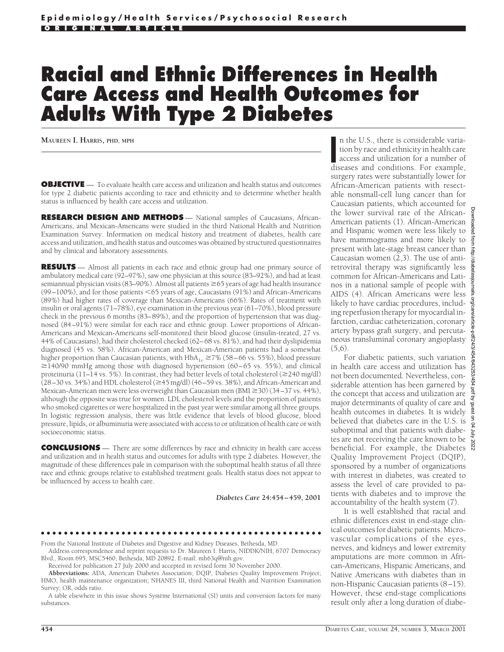# **Racial and Ethnic Differences in Health Care Access and Health Outcomes for Adults With Type 2 Diabetes**

**MAUREEN I. HARRIS, PHD, MPH**

**OBJECTIVE** — To evaluate health care access and utilization and health status and outcomes for type 2 diabetic patients according to race and ethnicity and to determine whether health status is influenced by health care access and utilization.

**RESEARCH DESIGN AND METHODS** — National samples of Caucasians, African-Americans, and Mexican-Americans were studied in the third National Health and Nutrition Examination Survey. Information on medical history and treatment of diabetes, health care access and utilization, and health status and outcomes was obtained by structured questionnaires and by clinical and laboratory assessments.

**RESULTS** — Almost all patients in each race and ethnic group had one primary source of ambulatory medical care (92–97%), saw one physician at this source (83–92%), and had at least semiannual physician visits (83–90%). Almost all patients  $\geq$ 65 years of age had health insurance  $(99-100%)$ , and for those patients <65 years of age, Caucasians (91%) and African-Americans (89%) had higher rates of coverage than Mexican-Americans (66%). Rates of treatment with insulin or oral agents (71–78%), eye examination in the previous year (61–70%), blood pressure check in the previous 6 months (83–89%), and the proportion of hypertension that was diagnosed (84–91%) were similar for each race and ethnic group. Lower proportions of African-Americans and Mexican-Americans self-monitored their blood glucose (insulin-treated, 27 vs. 44% of Caucasians), had their cholesterol checked (62–68 vs. 81%), and had their dyslipidemia diagnosed (45 vs. 58%). African-American and Mexican-American patients had a somewhat higher proportion than Caucasian patients, with  $HbA_{1c} \ge 7\%$  (58–66 vs. 55%), blood pressure  $\geq$ 140/90 mmHg among those with diagnosed hypertension (60–65 vs. 55%), and clinical proteinuria (11–14 vs. 5%). In contrast, they had better levels of total cholesterol ( $\geq$ 240 mg/dl)  $(28–30 \text{ vs. } 34\%)$  and HDL cholesterol  $(\geq 45 \text{ mg/dl})$   $(46–59 \text{ vs. } 38\%)$ , and African-American and Mexican-American men were less overweight than Caucasian men (BMI  $\geq$ 30) (34–37 vs. 44%), although the opposite was true for women. LDL cholesterol levels and the proportion of patients who smoked cigarettes or were hospitalized in the past year were similar among all three groups. In logistic regression analysis, there was little evidence that levels of blood glucose, blood pressure, lipids, or albuminuria were associated with access to or utilization of health care or with socioeconomic status.

**CONCLUSIONS** — There are some differences by race and ethnicity in health care access and utilization and in health status and outcomes for adults with type 2 diabetes. However, the magnitude of these differences pale in comparison with the suboptimal health status of all three race and ethnic groups relative to established treatment goals. Health status does not appear to be influenced by access to health care.

*Diabetes Care* **24:454–459, 2001**

●●●●●●●●●●●●●●●●●●●●●●●●●●●●●●●●●●●●●●●●●●●●●●●●●

From the National Institute of Diabetes and Digestive and Kidney Diseases, Bethesda, MD.

In the U.S., there is considerable variation by race and ethnicity in health care access and utilization for a number of diseases and conditions. For example, n the U.S., there is considerable variation by race and ethnicity in health care access and utilization for a number of surgery rates were substantially lower for African-American patients with resectable nonsmall-cell lung cancer than for Caucasian patients, which accounted for the lower survival rate of the African-American patients (1). African-American and Hispanic women were less likely to have mammograms and more likely to present with late-stage breast cancer than  $\vec{a}$ Caucasian women (2,3). The use of antiretroviral therapy was significantly less common for African-Americans and Latinos in a national sample of people with AIDS (4). African Americans were less likely to have cardiac procedures, including reperfusion therapy for myocardial infarction, cardiac catheterization, coronary artery bypass graft surgery, and percutaneous transluminal coronary angioplasty (5,6).

Hom

beneficial. For example, the Diabetes Quality Improvement Project (DQIP), sponsored by a number of organizations with interest in diabetes, was created to assess the level of care provided to patients with diabetes and to improve the accountability of the health system (7). It is well established that racial and ethnic differences exist in end-stage clinical outcomes for diabetic patients. Microvascular complications of the eyes, nerves, and kidneys and lower extremity amputations are more common in African-Americans, Hispanic Americans, and Native Americans with diabetes than in non-Hispanic Caucasian patients (8–15). However, these end-stage complications result only after a long duration of diabe-

Address correspondence and reprint requests to Dr. Maureen I. Harris, NIDDK/NIH, 6707 Democracy Blvd., Room 695, MSC5460, Bethesda, MD 20892. E-mail: mh63q@nih.gov.

Received for publication 27 July 2000 and accepted in revised form 30 November 2000.

**Abbreviations:** ADA, American Diabetes Association; DQIP, Diabetes Quality Improvement Project; HMO, health maintenance organization; NHANES III, third National Health and Nutrition Examination Survey; OR, odds ratio.

A table elsewhere in this issue shows Système International (SI) units and conversion factors for many substances.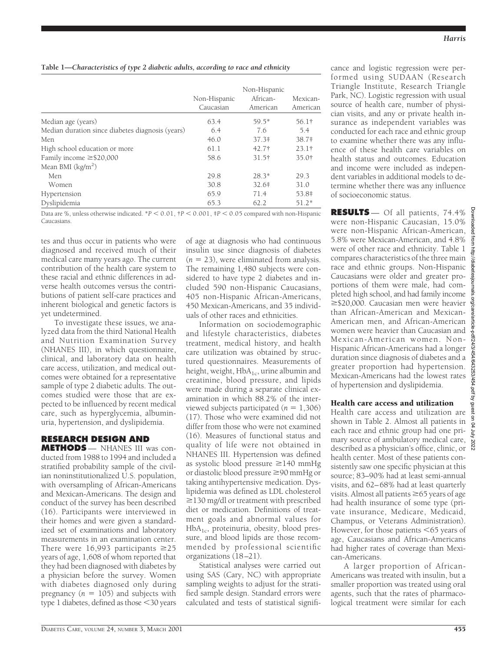**Table 1—***Characteristics of type 2 diabetic adults, according to race and ethnicity*

|                                                  | Non-Hispanic<br>Caucasian | Non-Hispanic<br>African-<br>American | Mexican-<br>American |
|--------------------------------------------------|---------------------------|--------------------------------------|----------------------|
| Median age (years)                               | 63.4                      | $59.5*$                              | 56.1†                |
| Median duration since diabetes diagnosis (years) | 6.4                       | 7.6                                  | 5.4                  |
| Men                                              | 46.0                      | 37.3‡                                | 38.7‡                |
| High school education or more                    | 61.1                      | 42.7 <sup>†</sup>                    | 23.1 <sup>†</sup>    |
| Family income $\geq$ \$20,000                    | 58.6                      | 31.5†                                | 35.0†                |
| Mean BMI $(kg/m2)$                               |                           |                                      |                      |
| Men                                              | 29.8                      | $28.3*$                              | 29.3                 |
| Women                                            | 30.8                      | 32.6‡                                | 31.0                 |
| Hypertension                                     | 65.9                      | 71.4                                 | 53.8‡                |
| Dyslipidemia                                     | 65.3                      | 62.2                                 | $51.2*$              |

Data are %, unless otherwise indicated. \**P* < 0.01,  $\uparrow$ *P* < 0.001,  $\uparrow$ *P* < 0.05 compared with non-Hispanic Caucasians.

tes and thus occur in patients who were diagnosed and received much of their medical care many years ago. The current contribution of the health care system to these racial and ethnic differences in adverse health outcomes versus the contributions of patient self-care practices and inherent biological and genetic factors is yet undetermined.

To investigate these issues, we analyzed data from the third National Health and Nutrition Examination Survey (NHANES III), in which questionnaire, clinical, and laboratory data on health care access, utilization, and medical outcomes were obtained for a representative sample of type 2 diabetic adults. The outcomes studied were those that are expected to be influenced by recent medical care, such as hyperglycemia, albuminuria, hypertension, and dyslipidemia.

## **RESEARCH DESIGN AND**

**METHODS** — NHANES III was conducted from 1988 to 1994 and included a stratified probability sample of the civilian noninstitutionalized U.S. population, with oversampling of African-Americans and Mexican-Americans. The design and conduct of the survey has been described (16). Participants were interviewed in their homes and were given a standardized set of examinations and laboratory measurements in an examination center. There were 16,993 participants  $\geq 25$ years of age, 1,608 of whom reported that they had been diagnosed with diabetes by a physician before the survey. Women with diabetes diagnosed only during pregnancy  $(n = 105)$  and subjects with type 1 diabetes, defined as those  $<$ 30 years

of age at diagnosis who had continuous insulin use since diagnosis of diabetes  $(n = 23)$ , were eliminated from analysis. The remaining 1,480 subjects were considered to have type 2 diabetes and included 590 non-Hispanic Caucasians, 405 non-Hispanic African-Americans, 450 Mexican-Americans, and 35 individuals of other races and ethnicities.

Information on sociodemographic and lifestyle characteristics, diabetes treatment, medical history, and health care utilization was obtained by structured questionnaires. Measurements of height, weight,  $HbA_{1c}$ , urine albumin and creatinine, blood pressure, and lipids were made during a separate clinical examination in which 88.2% of the interviewed subjects participated  $(n = 1,306)$ (17). Those who were examined did not differ from those who were not examined (16). Measures of functional status and quality of life were not obtained in NHANES III. Hypertension was defined as systolic blood pressure  $\geq$ 140 mmHg or diastolic blood pressure  $\geq$ 90 mmHg or taking antihypertensive medication. Dyslipidemia was defined as LDL cholesterol  $\geq$ 130 mg/dl or treatment with prescribed diet or medication. Definitions of treatment goals and abnormal values for  $HbA_{1c}$ , proteinuria, obesity, blood pressure, and blood lipids are those recommended by professional scientific organizations (18–21).

Statistical analyses were carried out using SAS (Cary, NC) with appropriate sampling weights to adjust for the stratified sample design. Standard errors were calculated and tests of statistical significance and logistic regression were performed using SUDAAN (Research Triangle Institute, Research Triangle Park, NC). Logistic regression with usual source of health care, number of physician visits, and any or private health insurance as independent variables was conducted for each race and ethnic group to examine whether there was any influence of these health care variables on health status and outcomes. Education and income were included as independent variables in additional models to determine whether there was any influence of socioeconomic status.

**RESULTS** — Of all patients, 74.4% were non-Hispanic Caucasian, 15.0% were non-Hispanic African-American, ă 5.8% were Mexican-American, and 4.8% Lou were of other race and ethnicity. Table 1  $\frac{1}{4}$ compares characteristics of the three main race and ethnic groups. Non-Hispanic Caucasians were older and greater proportions of them were male, had completed high school, and had family income  $\geq$ \$20,000. Caucasian men were heavier than African-American and Mexican-American men, and African-American women were heavier than Caucasian and Mexican-American women. Non-Hispanic African-Americans had a longer duration since diagnosis of diabetes and a greater proportion had hypertension. Mexican-Americans had the lowest rates of hypertension and dyslipidemia.

### Health care access and utilization

Health care access and utilization are shown in Table 2. Almost all patients in each race and ethnic group had one primary source of ambulatory medical care, described as a physician's office, clinic, or health center. Most of these patients consistently saw one specific physician at this source; 83–90% had at least semi-annual visits, and 62–68% had at least quarterly visits. Almost all patients  $\geq 65$  years of age had health insurance of some type (private insurance, Medicare, Medicaid, Champus, or Veterans Administration). However, for those patients <65 years of age, Caucasians and African-Americans had higher rates of coverage than Mexican-Americans.

A larger proportion of African-Americans was treated with insulin, but a smaller proportion was treated using oral agents, such that the rates of pharmacological treatment were similar for each

Jownloac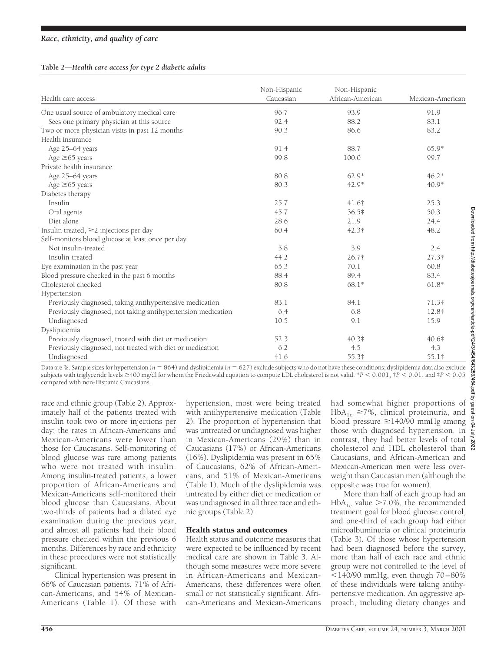| Table 2-Health care access for type 2 diabetic adults |  |  |
|-------------------------------------------------------|--|--|
|                                                       |  |  |

| Health care access                                           | Non-Hispanic<br>Caucasian | Non-Hispanic<br>African-American | Mexican-American  |
|--------------------------------------------------------------|---------------------------|----------------------------------|-------------------|
| One usual source of ambulatory medical care                  | 96.7                      | 93.9                             | 91.9              |
| Sees one primary physician at this source                    | 92.4                      | 88.2                             | 83.1              |
| Two or more physician visits in past 12 months               | 90.3                      | 86.6                             | 83.2              |
| Health insurance                                             |                           |                                  |                   |
| Age 25-64 years                                              | 91.4                      | 88.7                             | $65.9*$           |
| Age $\geq 65$ years                                          | 99.8                      | 100.0                            | 99.7              |
| Private health insurance                                     |                           |                                  |                   |
| Age 25-64 years                                              | 80.8                      | $62.9*$                          | $46.2*$           |
| Age $\geq 65$ years                                          | 80.3                      | 42.9*                            | $40.9*$           |
| Diabetes therapy                                             |                           |                                  |                   |
| Insulin                                                      | 25.7                      | 41.6†                            | 25.3              |
| Oral agents                                                  | 45.7                      | $36.5*$                          | 50.3              |
| Diet alone                                                   | 28.6                      | 21.9                             | 24.4              |
| Insulin treated, $\geq$ 2 injections per day                 | 60.4                      | 42.3†                            | 48.2              |
| Self-monitors blood glucose at least once per day            |                           |                                  |                   |
| Not insulin-treated                                          | 5.8                       | 3.9                              | 2.4               |
| Insulin-treated                                              | 44.2                      | 26.7 <sup>†</sup>                | 27.3 <sup>†</sup> |
| Eye examination in the past year                             | 65.3                      | 70.1                             | 60.8              |
| Blood pressure checked in the past 6 months                  | 88.4                      | 89.4                             | 83.4              |
| Cholesterol checked                                          | 80.8                      | 68.1*                            | $61.8*$           |
| Hypertension                                                 |                           |                                  |                   |
| Previously diagnosed, taking antihypertensive medication     | 83.1                      | 84.1                             | $71.3*$           |
| Previously diagnosed, not taking antihypertension medication | 6.4                       | 6.8                              | 12.8‡             |
| Undiagnosed                                                  | 10.5                      | 9.1                              | 15.9              |
| Dyslipidemia                                                 |                           |                                  |                   |
| Previously diagnosed, treated with diet or medication        | 52.3                      | $40.3*$                          | 40.6‡             |
| Previously diagnosed, not treated with diet or medication    | 6.2                       | 4.5                              | 4.3               |
| Undiagnosed                                                  | 41.6                      | 55.3‡                            | 55.1‡             |

Data are %. Sample sizes for hypertension ( $n = 864$ ) and dyslipidemia ( $n = 627$ ) exclude subjects who do not have these conditions; dyslipidemia data also exclude subjects with triglyceride levels  $\geq$  400 mg/dl for whom the Friedewald equation to compute LDL cholesterol is not valid. \**P* < 0.001,  $\uparrow$  *P* < 0.01, and  $\uparrow$  *P* < 0.05 compared with non-Hispanic Caucasians.

race and ethnic group (Table 2). Approximately half of the patients treated with insulin took two or more injections per day; the rates in African-Americans and Mexican-Americans were lower than those for Caucasians. Self-monitoring of blood glucose was rare among patients who were not treated with insulin. Among insulin-treated patients, a lower proportion of African-Americans and Mexican-Americans self-monitored their blood glucose than Caucasians. About two-thirds of patients had a dilated eye examination during the previous year, and almost all patients had their blood pressure checked within the previous 6 months. Differences by race and ethnicity in these procedures were not statistically significant.

Clinical hypertension was present in 66% of Caucasian patients, 71% of African-Americans, and 54% of Mexican-Americans (Table 1). Of those with hypertension, most were being treated with antihypertensive medication (Table 2). The proportion of hypertension that was untreated or undiagnosed was higher in Mexican-Americans (29%) than in Caucasians (17%) or African-Americans (16%). Dyslipidemia was present in 65% of Caucasians, 62% of African-Americans, and 51% of Mexican-Americans (Table 1). Much of the dyslipidemia was untreated by either diet or medication or was undiagnosed in all three race and ethnic groups (Table 2).

#### Health status and outcomes

Health status and outcome measures that were expected to be influenced by recent medical care are shown in Table 3. Although some measures were more severe in African-Americans and Mexican-Americans, these differences were often small or not statistically significant. African-Americans and Mexican-Americans

had somewhat higher proportions of  $HbA_{1c} \ge 7\%$ , clinical proteinuria, and blood pressure  $\geq$ 140/90 mmHg among those with diagnosed hypertension. In contrast, they had better levels of total cholesterol and HDL cholesterol than Caucasians, and African-American and Mexican-American men were less overweight than Caucasian men (although the opposite was true for women).

More than half of each group had an  $HbA_{1c}$  value  $>7.0\%$ , the recommended treatment goal for blood glucose control, and one-third of each group had either microalbuminuria or clinical proteinuria (Table 3). Of those whose hypertension had been diagnosed before the survey, more than half of each race and ethnic group were not controlled to the level of  $\leq$ 140/90 mmHg, even though 70–80% of these individuals were taking antihypertensive medication. An aggressive approach, including dietary changes and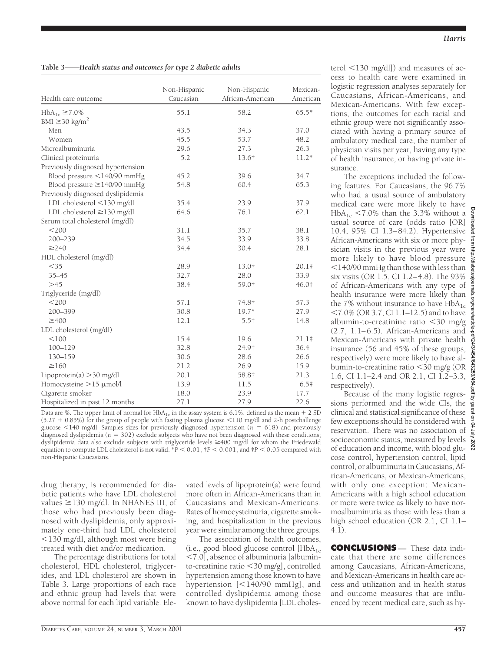#### **Table 3——***Health status and outcomes for type 2 diabetic adults*

|                                   | Non-Hispanic | Non-Hispanic     | Mexican- |
|-----------------------------------|--------------|------------------|----------|
| Health care outcome               | Caucasian    | African-American | American |
| $HbA_{1c} \ge 7.0\%$              | 55.1         | 58.2             | $65.5*$  |
| BMI $\geq$ 30 kg/m <sup>2</sup>   |              |                  |          |
| Men                               | 43.5         | 34.3             | 37.0     |
| Women                             | 45.5         | 53.7             | 48.2     |
| Microalbuminuria                  | 29.6         | 27.3             | 26.3     |
| Clinical proteinuria              | 5.2          | 13.6†            | $11.2*$  |
| Previously diagnosed hypertension |              |                  |          |
| Blood pressure <140/90 mmHg       | 45.2         | 39.6             | 34.7     |
| Blood pressure ≥140/90 mmHg       | 54.8         | 60.4             | 65.3     |
| Previously diagnosed dyslipidemia |              |                  |          |
| LDL cholesterol <130 mg/dl        | 35.4         | 23.9             | 37.9     |
| LDL cholesterol $\geq$ 130 mg/dl  | 64.6         | 76.1             | 62.1     |
| Serum total cholesterol (mg/dl)   |              |                  |          |
| $<$ 200                           | 31.1         | 35.7             | 38.1     |
| 200-239                           | 34.5         | 33.9             | 33.8     |
| $\geq$ 240                        | 34.4         | 30.4             | 28.1     |
| HDL cholesterol (mg/dl)           |              |                  |          |
| $<$ 35                            | 28.9         | 13.0†            | $20.1*$  |
| $35 - 45$                         | 32.7         | 28.0             | 33.9     |
| >45                               | 38.4         | 59.0†            | 46.0‡    |
| Triglyceride (mg/dl)              |              |                  |          |
| $<$ 200                           | 57.1         | 74.8†            | 57.3     |
| 200-399                           | 30.8         | $19.7*$          | 27.9     |
| $\geq 400$                        | 12.1         | $5.5*$           | 14.8     |
| LDL cholesterol (mg/dl)           |              |                  |          |
| < 100                             | 15.4         | 19.6             | $21.1*$  |
| $100 - 129$                       | 32.8         | 24.9‡            | 36.4     |
| $130 - 159$                       | 30.6         | 28.6             | 26.6     |
| $\geq$ 160                        | 21.2         | 26.9             | 15.9     |
| Lipoprotein(a) $>$ 30 mg/dl       | 20.1         | 58.8†            | 21.3     |
| Homocysteine >15 µmol/l           | 13.9         | 11.5             | $6.5*$   |
| Cigarette smoker                  | 18.0         | 23.9             | 17.7     |
| Hospitalized in past 12 months    | 27.1         | 27.9             | 22.6     |

Data are %. The upper limit of normal for  $HbA_{1c}$  in the assay system is 6.1%, defined as the mean  $+$  2 SD  $(5.27 + 0.85%)$  for the group of people with fasting plasma glucose <110 mg/dl and 2-h postchallenge glucose  $\lt 140$  mg/dl. Samples sizes for previously diagnosed hypertension ( $n = 618$ ) and previously diagnosed dyslipidemia ( $n = 302$ ) exclude subjects who have not been diagnosed with these conditions; dyslipidemia data also exclude subjects with triglyceride levels \$400 mg/dl for whom the Friedewald equation to compute LDL cholesterol is not valid.  $*P < 0.01$ ,  $*P < 0.001$ , and  $*P < 0.05$  compared with non-Hispanic Caucasians.

drug therapy, is recommended for diabetic patients who have LDL cholesterol values  $\geq$ 130 mg/dl. In NHANES III, of those who had previously been diagnosed with dyslipidemia, only approximately one-third had LDL cholesterol ,130 mg/dl, although most were being treated with diet and/or medication.

The percentage distributions for total cholesterol, HDL cholesterol, triglycerides, and LDL cholesterol are shown in Table 3. Large proportions of each race and ethnic group had levels that were above normal for each lipid variable. Elevated levels of lipoprotein(a) were found more often in African-Americans than in Caucasians and Mexican-Americans. Rates of homocysteinuria, cigarette smoking, and hospitalization in the previous year were similar among the three groups.

The association of health outcomes, (i.e., good blood glucose control  $[HbA<sub>1c</sub>]$  $\leq$ 7.0], absence of albuminuria [albuminto-creatinine ratio  $<$ 30 mg/g], controlled hypertension among those known to have hypertension  $\left[$  <140/90 mmHg], and controlled dyslipidemia among those known to have dyslipidemia [LDL cholesterol  $\leq$ 130 mg/dl]) and measures of access to health care were examined in logistic regression analyses separately for Caucasians, African-Americans, and Mexican-Americans. With few exceptions, the outcomes for each racial and ethnic group were not significantly associated with having a primary source of ambulatory medical care, the number of physician visits per year, having any type of health insurance, or having private insurance.

The exceptions included the following features. For Caucasians, the 96.7% who had a usual source of ambulatory medical care were more likely to have  $HbA_{1c}$  <7.0% than the 3.3% without a usual source of care (odds ratio [OR] 10.4, 95% CI 1.3–84.2). Hypertensive African-Americans with six or more physician visits in the previous year were more likely to have blood pressure  $<$ 140/90 mmHg than those with less than six visits (OR 1.5, CI 1.2–4.8). The 93% of African-Americans with any type of health insurance were more likely than the 7% without insurance to have  $HbA_{1c}$  $<$  7.0% (OR 3.7, CI 1.1–12.5) and to have albumin-to-creatinine ratio  $\leq$ 30 mg/g (2.7, 1.1–6.5). African-Americans and Mexican-Americans with private health insurance (56 and 45% of these groups, respectively) were more likely to have albumin-to-creatinine ratio  $<$ 30 mg/g (OR 1.6, CI 1.1–2.4 and OR 2.1, CI 1.2–3.3, respectively).

Because of the many logistic regressions performed and the wide CIs, the clinical and statistical significance of these few exceptions should be considered with reservation. There was no association of socioeconomic status, measured by levels of education and income, with blood glucose control, hypertension control, lipid control, or albuminuria in Caucasians, African-Americans, or Mexican-Americans, with only one exception: Mexican-Americans with a high school education or more were twice as likely to have normoalbuminuria as those with less than a high school education (OR 2.1, CI 1.1– 4.1).

**CONCLUSIONS** — These data indicate that there are some differences among Caucasians, African-Americans, and Mexican-Americans in health care access and utilization and in health status and outcome measures that are influenced by recent medical care, such as hy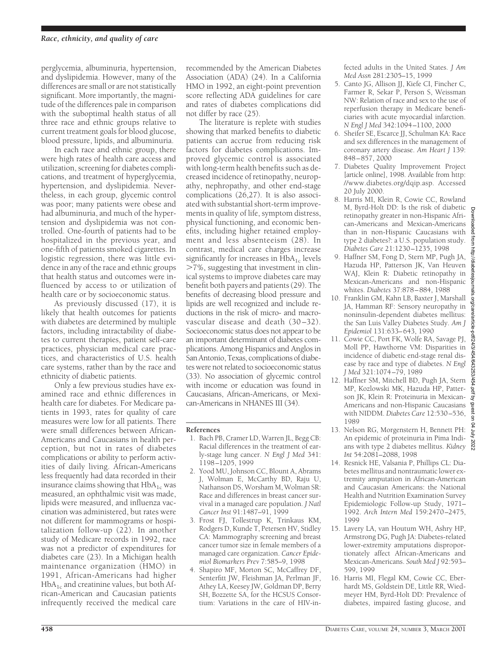perglycemia, albuminuria, hypertension, and dyslipidemia. However, many of the differences are small or are not statistically significant. More importantly, the magnitude of the differences pale in comparison with the suboptimal health status of all three race and ethnic groups relative to current treatment goals for blood glucose, blood pressure, lipids, and albuminuria.

In each race and ethnic group, there were high rates of health care access and utilization, screening for diabetes complications, and treatment of hyperglycemia, hypertension, and dyslipidemia. Nevertheless, in each group, glycemic control was poor; many patients were obese and had albuminuria, and much of the hypertension and dyslipidemia was not controlled. One-fourth of patients had to be hospitalized in the previous year, and one-fifth of patients smoked cigarettes. In logistic regression, there was little evidence in any of the race and ethnic groups that health status and outcomes were influenced by access to or utilization of health care or by socioeconomic status.

As previously discussed (17), it is likely that health outcomes for patients with diabetes are determined by multiple factors, including intractability of diabetes to current therapies, patient self-care practices, physician medical care practices, and characteristics of U.S. health care systems, rather than by the race and ethnicity of diabetic patients.

Only a few previous studies have examined race and ethnic differences in health care for diabetes. For Medicare patients in 1993, rates for quality of care measures were low for all patients. There were small differences between African-Americans and Caucasians in health perception, but not in rates of diabetes complications or ability to perform activities of daily living. African-Americans less frequently had data recorded in their insurance claims showing that  $HbA_{1c}$  was measured, an ophthalmic visit was made, lipids were measured, and influenza vaccination was administered, but rates were not different for mammograms or hospitalization follow-up (22). In another study of Medicare records in 1992, race was not a predictor of expenditures for diabetes care (23). In a Michigan health maintenance organization (HMO) in 1991, African-Americans had higher  $HbA_{1c}$  and creatinine values, but both African-American and Caucasian patients infrequently received the medical care

recommended by the American Diabetes Association (ADA) (24). In a California HMO in 1992, an eight-point prevention score reflecting ADA guidelines for care and rates of diabetes complications did not differ by race (25).

The literature is replete with studies showing that marked benefits to diabetic patients can accrue from reducing risk factors for diabetes complications. Improved glycemic control is associated with long-term health benefits such as decreased incidence of retinopathy, neuropathy, nephropathy, and other end-stage complications (26,27). It is also associated with substantial short-term improvements in quality of life, symptom distress, physical functioning, and economic benefits, including higher retained employment and less absenteeism (28). In contrast, medical care charges increase significantly for increases in  $HbA_{1c}$  levels .7%, suggesting that investment in clinical systems to improve diabetes care may benefit both payers and patients (29). The benefits of decreasing blood pressure and lipids are well recognized and include reductions in the risk of micro- and macrovascular disease and death (30–32). Socioeconomic status does not appear to be an important determinant of diabetes complications. Among Hispanics and Anglos in San Antonio, Texas, complications of diabetes were not related to socioeconomic status (33). No association of glycemic control with income or education was found in Caucasians, African-Americans, or Mexican-Americans in NHANES III (34).

#### **References**

- 1. Bach PB, Cramer LD, Warren JL, Begg CB: Racial differences in the treatment of early-stage lung cancer. *N Engl J Med* 341: 1198–1205, 1999
- 2. Yood MU, Johnson CC, Blount A, Abrams J, Wolman E, McCarthy BD, Raju U, Nathanson DS, Worsham M, Wolman SR: Race and differences in breast cancer survival in a managed care population. *J Natl Cancer Inst* 91:1487–91, 1999
- 3. Frost FJ, Tollestrup K, Trinkaus KM, Rodgers D, Kunde T, Petersen HV, Stidley CA: Mammography screening and breast cancer tumor size in female members of a managed care organization. *Cancer Epidemiol Biomarkers Prev* 7:585–9, 1998
- 4. Shapiro MF, Morton SC, McCaffrey DF, Senterfitt JW, Fleishman JA, Perlman JF, Athey LA, Keesey JW, Goldman DP, Berry SH, Bozzette SA, for the HCSUS Consortium: Variations in the care of HIV-in-

fected adults in the United States. *J Am Med Assn* 281:2305–15, 1999

- 5. Canto JG, Allison JJ, Kiefe CI, Fincher C, Farmer R, Sekar P, Person S, Weissman NW: Relation of race and sex to the use of reperfusion therapy in Medicare beneficiaries with acute myocardial infarction. *N Engl J Med* 342:1094–1100, 2000
- 6. Sheifer SE, Escarce JJ, Schulman KA: Race and sex differences in the management of coronary artery disease. *Am Heart J* 139: 848–857, 2000
- 7. Diabetes Quality Improvement Project [article online], 1998. Available from http: //www.diabetes.org/dqip.asp. Accessed 20 July 2000.
- 8. Harris MI, Klein R, Cowie CC, Rowland M, Byrd-Holt DD: Is the risk of diabetic retinopathy greater in non-Hispanic African-Americans and Mexican-Americans than in non-Hispanic Caucasians with type 2 diabetes?: a U.S. population study. *Diabetes Care* 21:1230–1235, 1998
- 9. Haffner SM, Fong D, Stern MP, Pugh JA, Hazuda HP, Patterson JK, Van Heuven WAJ, Klein R: Diabetic retinopathy in Mexican-Americans and non-Hispanic whites. *Diabetes* 37:878–884, 1988
- 10. Franklin GM, Kahn LB, Baxter J, Marshall JA, Hamman RF: Sensory neuropathy in noninsulin-dependent diabetes mellitus: the San Luis Valley Diabetes Study. *Am J Epidemiol* 131:633–643, 1990
- 11. Cowie CC, Port FK, Wolfe RA, Savage PJ, Moll PP, Hawthorne VM: Disparities in incidence of diabetic end-stage renal disease by race and type of diabetes. *N Engl J Med* 321:1074–79, 1989
- 12. Haffner SM, Mitchell BD, Pugh JA, Stern MP, Kozlowski MK, Hazuda HP, Patterson JK, Klein R: Proteinuria in Mexican-Americans and non-Hispanic Caucasians with NIDDM. *Diabetes Care* 12:530–536, 1989
- 13. Nelson RG, Morgenstern H, Bennett PH: An epidemic of proteinuria in Pima Indians with type 2 diabetes mellitus. *Kidney Int* 54:2081–2088, 1998
- 14. Resnick HE, Valsania P, Phillips CL: Diabetes mellitus and nontraumatic lower extremity amputation in African-American and Caucasian Americans: the National Health and Nutrition Examination Survey Epidemiologic Follow-up Study, 1971– 1992. *Arch Intern Med* 159:2470–2475, 1999
- 15. Lavery LA, van Houtum WH, Ashry HP, Armstrong DG, Pugh JA: Diabetes-related lower-extremity amputations disproportionately affect African-Americans and Mexican-Americans. *South Med J* 92:593– 599, 1999
- 16. Harris MI, Flegal KM, Cowie CC, Eberhardt MS, Goldstein DE, Little RR, Wiedmeyer HM, Byrd-Holt DD: Prevalence of diabetes, impaired fasting glucose, and

Downloaded